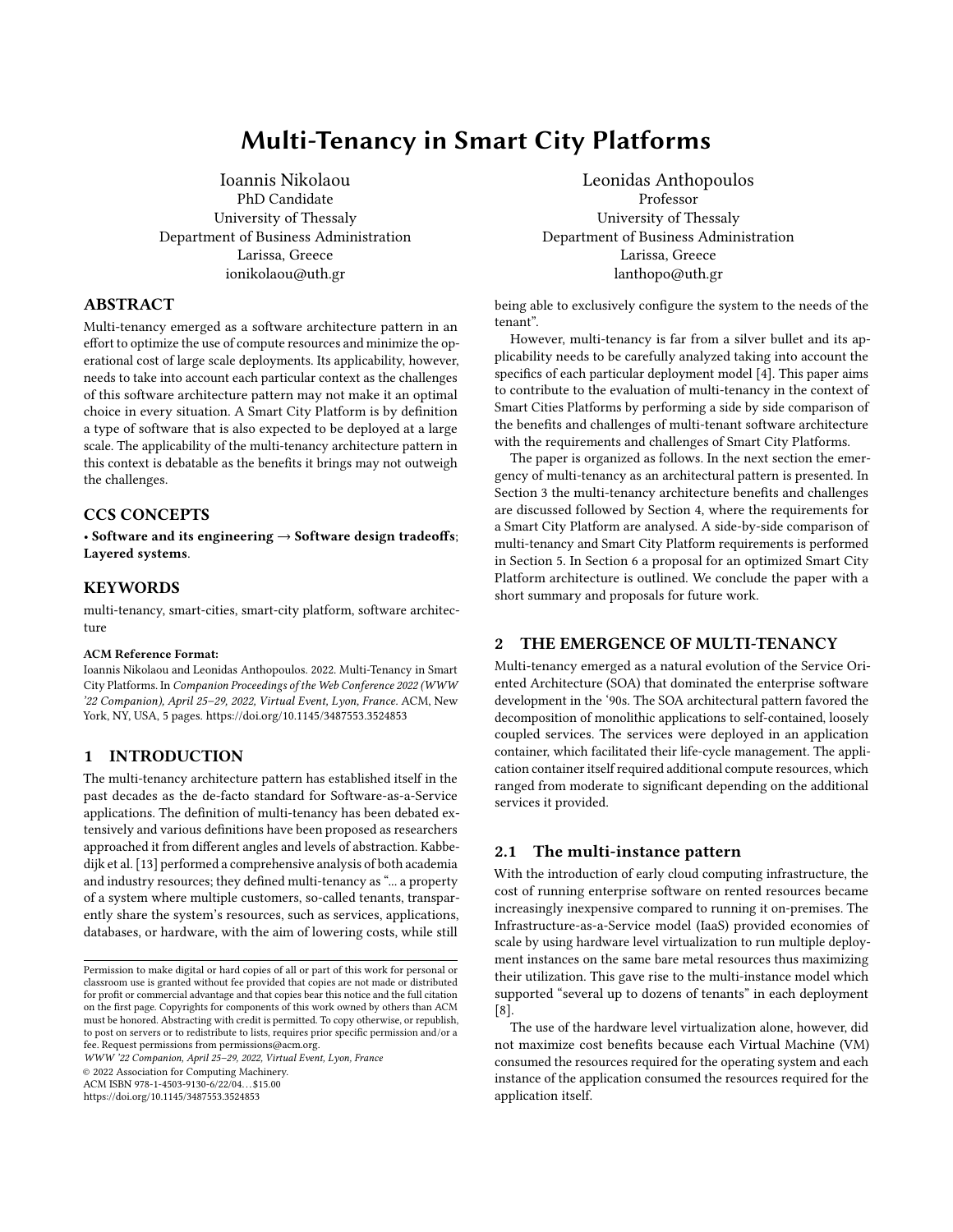# Multi-Tenancy in Smart City Platforms

[Ioannis Nikolaou](https://orcid.org/0000-0001-9170-9661) PhD Candidate University of Thessaly Department of Business Administration Larissa, Greece ionikolaou@uth.gr

## ABSTRACT

Multi-tenancy emerged as a software architecture pattern in an effort to optimize the use of compute resources and minimize the operational cost of large scale deployments. Its applicability, however, needs to take into account each particular context as the challenges of this software architecture pattern may not make it an optimal choice in every situation. A Smart City Platform is by definition a type of software that is also expected to be deployed at a large scale. The applicability of the multi-tenancy architecture pattern in this context is debatable as the benefits it brings may not outweigh the challenges.

## CCS CONCEPTS

• Software and its engineering  $\rightarrow$  Software design tradeoffs; Layered systems.

## **KEYWORDS**

multi-tenancy, smart-cities, smart-city platform, software architecture

#### ACM Reference Format:

Ioannis Nikolaou and Leonidas Anthopoulos. 2022. Multi-Tenancy in Smart City Platforms. In Companion Proceedings of the Web Conference 2022 (WWW '22 Companion), April 25–29, 2022, Virtual Event, Lyon, France. ACM, New York, NY, USA, [5](#page-4-0) pages.<https://doi.org/10.1145/3487553.3524853>

## 1 INTRODUCTION

The multi-tenancy architecture pattern has established itself in the past decades as the de-facto standard for Software-as-a-Service applications. The definition of multi-tenancy has been debated extensively and various definitions have been proposed as researchers approached it from different angles and levels of abstraction. Kabbedijk et al. [\[13\]](#page-3-0) performed a comprehensive analysis of both academia and industry resources; they defined multi-tenancy as "... a property of a system where multiple customers, so-called tenants, transparently share the system's resources, such as services, applications, databases, or hardware, with the aim of lowering costs, while still

WWW '22 Companion, April 25–29, 2022, Virtual Event, Lyon, France

© 2022 Association for Computing Machinery.

ACM ISBN 978-1-4503-9130-6/22/04. . . \$15.00

<https://doi.org/10.1145/3487553.3524853>

[Leonidas Anthopoulos](https://orcid.org/0000-0002-7731-4716) Professor University of Thessaly Department of Business Administration Larissa, Greece lanthopo@uth.gr

being able to exclusively configure the system to the needs of the tenant".

However, multi-tenancy is far from a silver bullet and its applicability needs to be carefully analyzed taking into account the specifics of each particular deployment model [\[4\]](#page-3-1). This paper aims to contribute to the evaluation of multi-tenancy in the context of Smart Cities Platforms by performing a side by side comparison of the benefits and challenges of multi-tenant software architecture with the requirements and challenges of Smart City Platforms.

The paper is organized as follows. In the next section the emergency of multi-tenancy as an architectural pattern is presented. In Section 3 the multi-tenancy architecture benefits and challenges are discussed followed by Section 4, where the requirements for a Smart City Platform are analysed. A side-by-side comparison of multi-tenancy and Smart City Platform requirements is performed in Section 5. In Section 6 a proposal for an optimized Smart City Platform architecture is outlined. We conclude the paper with a short summary and proposals for future work.

## 2 THE EMERGENCE OF MULTI-TENANCY

Multi-tenancy emerged as a natural evolution of the Service Oriented Architecture (SOA) that dominated the enterprise software development in the '90s. The SOA architectural pattern favored the decomposition of monolithic applications to self-contained, loosely coupled services. The services were deployed in an application container, which facilitated their life-cycle management. The application container itself required additional compute resources, which ranged from moderate to significant depending on the additional services it provided.

## 2.1 The multi-instance pattern

With the introduction of early cloud computing infrastructure, the cost of running enterprise software on rented resources became increasingly inexpensive compared to running it on-premises. The Infrastructure-as-a-Service model (IaaS) provided economies of scale by using hardware level virtualization to run multiple deployment instances on the same bare metal resources thus maximizing their utilization. This gave rise to the multi-instance model which supported "several up to dozens of tenants" in each deployment [\[8\]](#page-3-2).

The use of the hardware level virtualization alone, however, did not maximize cost benefits because each Virtual Machine (VM) consumed the resources required for the operating system and each instance of the application consumed the resources required for the application itself.

Permission to make digital or hard copies of all or part of this work for personal or classroom use is granted without fee provided that copies are not made or distributed for profit or commercial advantage and that copies bear this notice and the full citation on the first page. Copyrights for components of this work owned by others than ACM must be honored. Abstracting with credit is permitted. To copy otherwise, or republish, to post on servers or to redistribute to lists, requires prior specific permission and/or a fee. Request permissions from permissions@acm.org.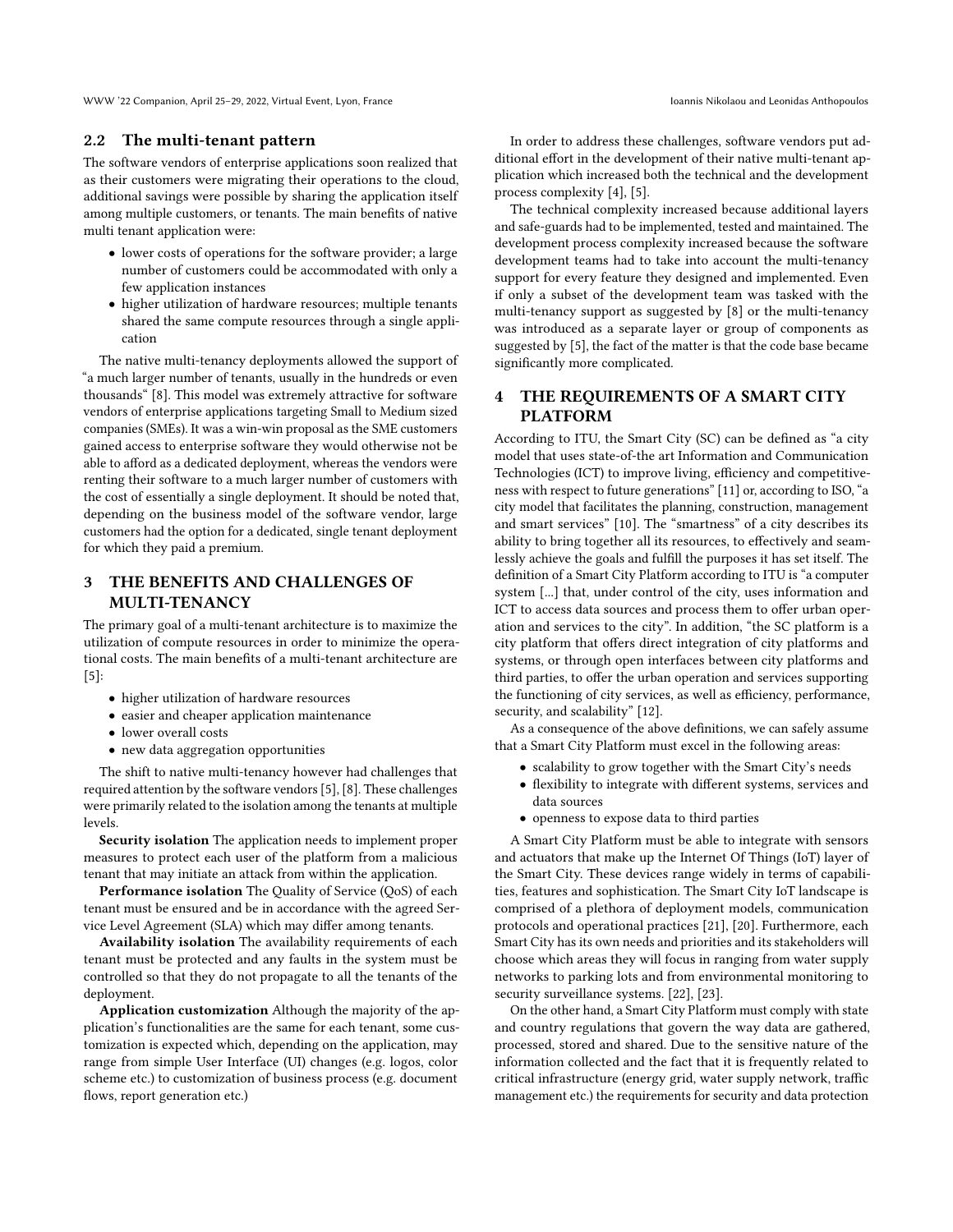WWW '22 Companion, April 25–29, 2022, Virtual Event, Lyon, France International Companis Nikolaou and Leonidas Anthopoulos

## 2.2 The multi-tenant pattern

The software vendors of enterprise applications soon realized that as their customers were migrating their operations to the cloud, additional savings were possible by sharing the application itself among multiple customers, or tenants. The main benefits of native multi tenant application were:

- lower costs of operations for the software provider; a large number of customers could be accommodated with only a few application instances
- higher utilization of hardware resources; multiple tenants shared the same compute resources through a single application

The native multi-tenancy deployments allowed the support of "a much larger number of tenants, usually in the hundreds or even thousands" [\[8\]](#page-3-2). This model was extremely attractive for software vendors of enterprise applications targeting Small to Medium sized companies (SMEs). It was a win-win proposal as the SME customers gained access to enterprise software they would otherwise not be able to afford as a dedicated deployment, whereas the vendors were renting their software to a much larger number of customers with the cost of essentially a single deployment. It should be noted that, depending on the business model of the software vendor, large customers had the option for a dedicated, single tenant deployment for which they paid a premium.

# 3 THE BENEFITS AND CHALLENGES OF MULTI-TENANCY

The primary goal of a multi-tenant architecture is to maximize the utilization of compute resources in order to minimize the operational costs. The main benefits of a multi-tenant architecture are  $[5]$ :

- higher utilization of hardware resources
- easier and cheaper application maintenance
- lower overall costs
- new data aggregation opportunities

The shift to native multi-tenancy however had challenges that required attention by the software vendors [\[5\]](#page-3-3), [\[8\]](#page-3-2). These challenges were primarily related to the isolation among the tenants at multiple levels.

Security isolation The application needs to implement proper measures to protect each user of the platform from a malicious tenant that may initiate an attack from within the application.

Performance isolation The Quality of Service (QoS) of each tenant must be ensured and be in accordance with the agreed Service Level Agreement (SLA) which may differ among tenants.

Availability isolation The availability requirements of each tenant must be protected and any faults in the system must be controlled so that they do not propagate to all the tenants of the deployment.

Application customization Although the majority of the application's functionalities are the same for each tenant, some customization is expected which, depending on the application, may range from simple User Interface (UI) changes (e.g. logos, color scheme etc.) to customization of business process (e.g. document flows, report generation etc.)

In order to address these challenges, software vendors put additional effort in the development of their native multi-tenant application which increased both the technical and the development process complexity [\[4\]](#page-3-1), [\[5\]](#page-3-3).

The technical complexity increased because additional layers and safe-guards had to be implemented, tested and maintained. The development process complexity increased because the software development teams had to take into account the multi-tenancy support for every feature they designed and implemented. Even if only a subset of the development team was tasked with the multi-tenancy support as suggested by [\[8\]](#page-3-2) or the multi-tenancy was introduced as a separate layer or group of components as suggested by [\[5\]](#page-3-3), the fact of the matter is that the code base became significantly more complicated.

# 4 THE REQUIREMENTS OF A SMART CITY PLATFORM

According to ITU, the Smart City (SC) can be defined as "a city model that uses state-of-the art Information and Communication Technologies (ICT) to improve living, efficiency and competitiveness with respect to future generations" [\[11\]](#page-3-4) or, according to ISO, "a city model that facilitates the planning, construction, management and smart services" [\[10\]](#page-3-5). The "smartness" of a city describes its ability to bring together all its resources, to effectively and seamlessly achieve the goals and fulfill the purposes it has set itself. The definition of a Smart City Platform according to ITU is "a computer system [...] that, under control of the city, uses information and ICT to access data sources and process them to offer urban operation and services to the city". In addition, "the SC platform is a city platform that offers direct integration of city platforms and systems, or through open interfaces between city platforms and third parties, to offer the urban operation and services supporting the functioning of city services, as well as efficiency, performance, security, and scalability" [\[12\]](#page-3-6).

As a consequence of the above definitions, we can safely assume that a Smart City Platform must excel in the following areas:

- scalability to grow together with the Smart City's needs
- flexibility to integrate with different systems, services and data sources
- openness to expose data to third parties

A Smart City Platform must be able to integrate with sensors and actuators that make up the Internet Of Things (IoT) layer of the Smart City. These devices range widely in terms of capabilities, features and sophistication. The Smart City IoT landscape is comprised of a plethora of deployment models, communication protocols and operational practices [\[21\]](#page-4-1), [\[20\]](#page-4-2). Furthermore, each Smart City has its own needs and priorities and its stakeholders will choose which areas they will focus in ranging from water supply networks to parking lots and from environmental monitoring to security surveillance systems. [\[22\]](#page-4-3), [\[23\]](#page-4-4).

On the other hand, a Smart City Platform must comply with state and country regulations that govern the way data are gathered, processed, stored and shared. Due to the sensitive nature of the information collected and the fact that it is frequently related to critical infrastructure (energy grid, water supply network, traffic management etc.) the requirements for security and data protection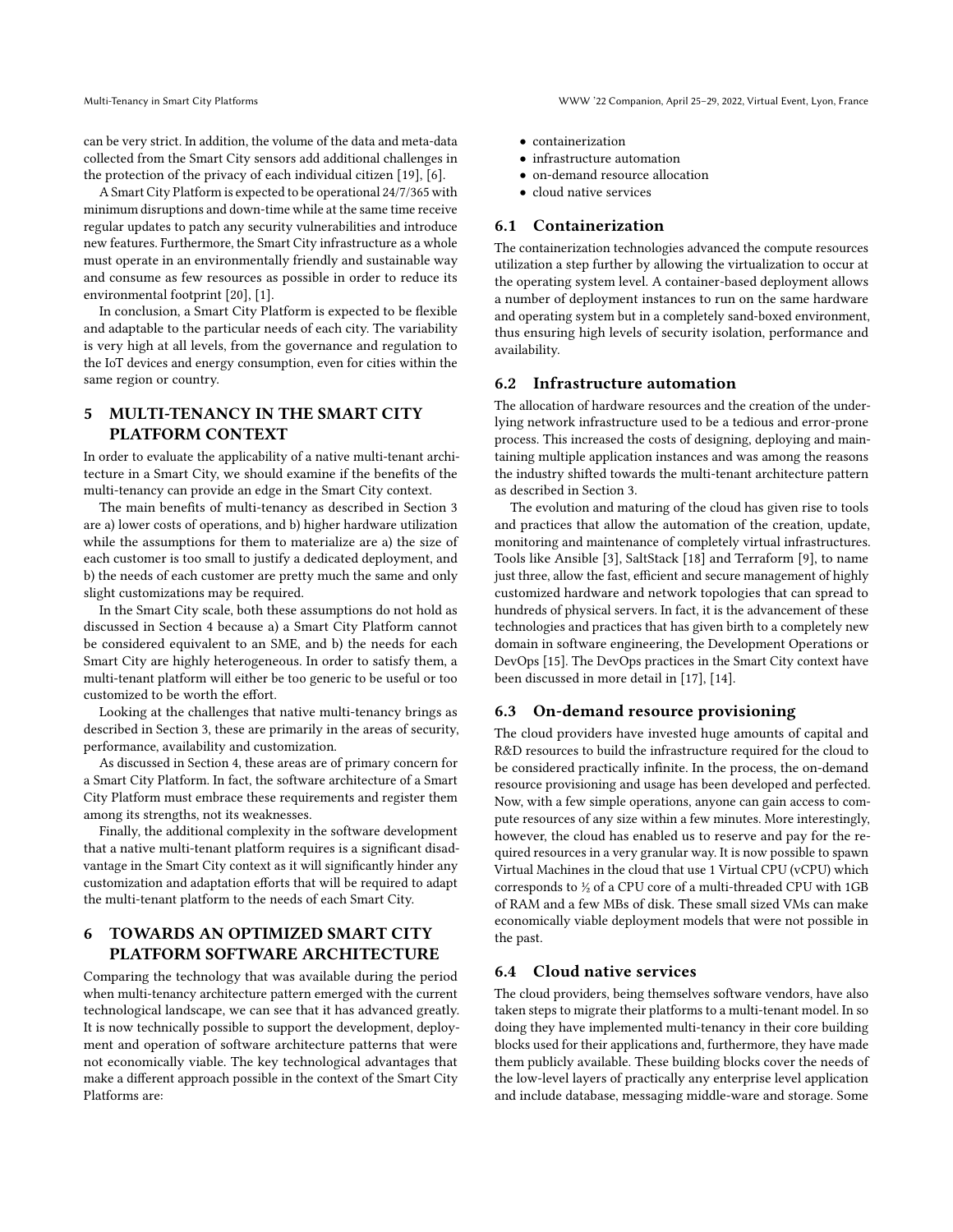can be very strict. In addition, the volume of the data and meta-data collected from the Smart City sensors add additional challenges in the protection of the privacy of each individual citizen [\[19\]](#page-4-5), [\[6\]](#page-3-7).

A Smart City Platform is expected to be operational 24/7/365 with minimum disruptions and down-time while at the same time receive regular updates to patch any security vulnerabilities and introduce new features. Furthermore, the Smart City infrastructure as a whole must operate in an environmentally friendly and sustainable way and consume as few resources as possible in order to reduce its environmental footprint [\[20\]](#page-4-2), [\[1\]](#page-3-8).

In conclusion, a Smart City Platform is expected to be flexible and adaptable to the particular needs of each city. The variability is very high at all levels, from the governance and regulation to the IoT devices and energy consumption, even for cities within the same region or country.

## 5 MULTI-TENANCY IN THE SMART CITY PLATFORM CONTEXT

In order to evaluate the applicability of a native multi-tenant architecture in a Smart City, we should examine if the benefits of the multi-tenancy can provide an edge in the Smart City context.

The main benefits of multi-tenancy as described in Section 3 are a) lower costs of operations, and b) higher hardware utilization while the assumptions for them to materialize are a) the size of each customer is too small to justify a dedicated deployment, and b) the needs of each customer are pretty much the same and only slight customizations may be required.

In the Smart City scale, both these assumptions do not hold as discussed in Section 4 because a) a Smart City Platform cannot be considered equivalent to an SME, and b) the needs for each Smart City are highly heterogeneous. In order to satisfy them, a multi-tenant platform will either be too generic to be useful or too customized to be worth the effort.

Looking at the challenges that native multi-tenancy brings as described in Section 3, these are primarily in the areas of security, performance, availability and customization.

As discussed in Section 4, these areas are of primary concern for a Smart City Platform. In fact, the software architecture of a Smart City Platform must embrace these requirements and register them among its strengths, not its weaknesses.

Finally, the additional complexity in the software development that a native multi-tenant platform requires is a significant disadvantage in the Smart City context as it will significantly hinder any customization and adaptation efforts that will be required to adapt the multi-tenant platform to the needs of each Smart City.

# 6 TOWARDS AN OPTIMIZED SMART CITY PLATFORM SOFTWARE ARCHITECTURE

Comparing the technology that was available during the period when multi-tenancy architecture pattern emerged with the current technological landscape, we can see that it has advanced greatly. It is now technically possible to support the development, deployment and operation of software architecture patterns that were not economically viable. The key technological advantages that make a different approach possible in the context of the Smart City Platforms are:

- containerization
- infrastructure automation
- on-demand resource allocation
- cloud native services

#### 6.1 Containerization

The containerization technologies advanced the compute resources utilization a step further by allowing the virtualization to occur at the operating system level. A container-based deployment allows a number of deployment instances to run on the same hardware and operating system but in a completely sand-boxed environment, thus ensuring high levels of security isolation, performance and availability.

## 6.2 Infrastructure automation

The allocation of hardware resources and the creation of the underlying network infrastructure used to be a tedious and error-prone process. This increased the costs of designing, deploying and maintaining multiple application instances and was among the reasons the industry shifted towards the multi-tenant architecture pattern as described in Section 3.

The evolution and maturing of the cloud has given rise to tools and practices that allow the automation of the creation, update, monitoring and maintenance of completely virtual infrastructures. Tools like Ansible [\[3\]](#page-3-9), SaltStack [\[18\]](#page-4-6) and Terraform [\[9\]](#page-3-10), to name just three, allow the fast, efficient and secure management of highly customized hardware and network topologies that can spread to hundreds of physical servers. In fact, it is the advancement of these technologies and practices that has given birth to a completely new domain in software engineering, the Development Operations or DevOps [\[15\]](#page-4-7). The DevOps practices in the Smart City context have been discussed in more detail in [\[17\]](#page-4-8), [\[14\]](#page-4-9).

#### 6.3 On-demand resource provisioning

The cloud providers have invested huge amounts of capital and R&D resources to build the infrastructure required for the cloud to be considered practically infinite. In the process, the on-demand resource provisioning and usage has been developed and perfected. Now, with a few simple operations, anyone can gain access to compute resources of any size within a few minutes. More interestingly, however, the cloud has enabled us to reserve and pay for the required resources in a very granular way. It is now possible to spawn Virtual Machines in the cloud that use 1 Virtual CPU (vCPU) which corresponds to ½ of a CPU core of a multi-threaded CPU with 1GB of RAM and a few MBs of disk. These small sized VMs can make economically viable deployment models that were not possible in the past.

#### 6.4 Cloud native services

The cloud providers, being themselves software vendors, have also taken steps to migrate their platforms to a multi-tenant model. In so doing they have implemented multi-tenancy in their core building blocks used for their applications and, furthermore, they have made them publicly available. These building blocks cover the needs of the low-level layers of practically any enterprise level application and include database, messaging middle-ware and storage. Some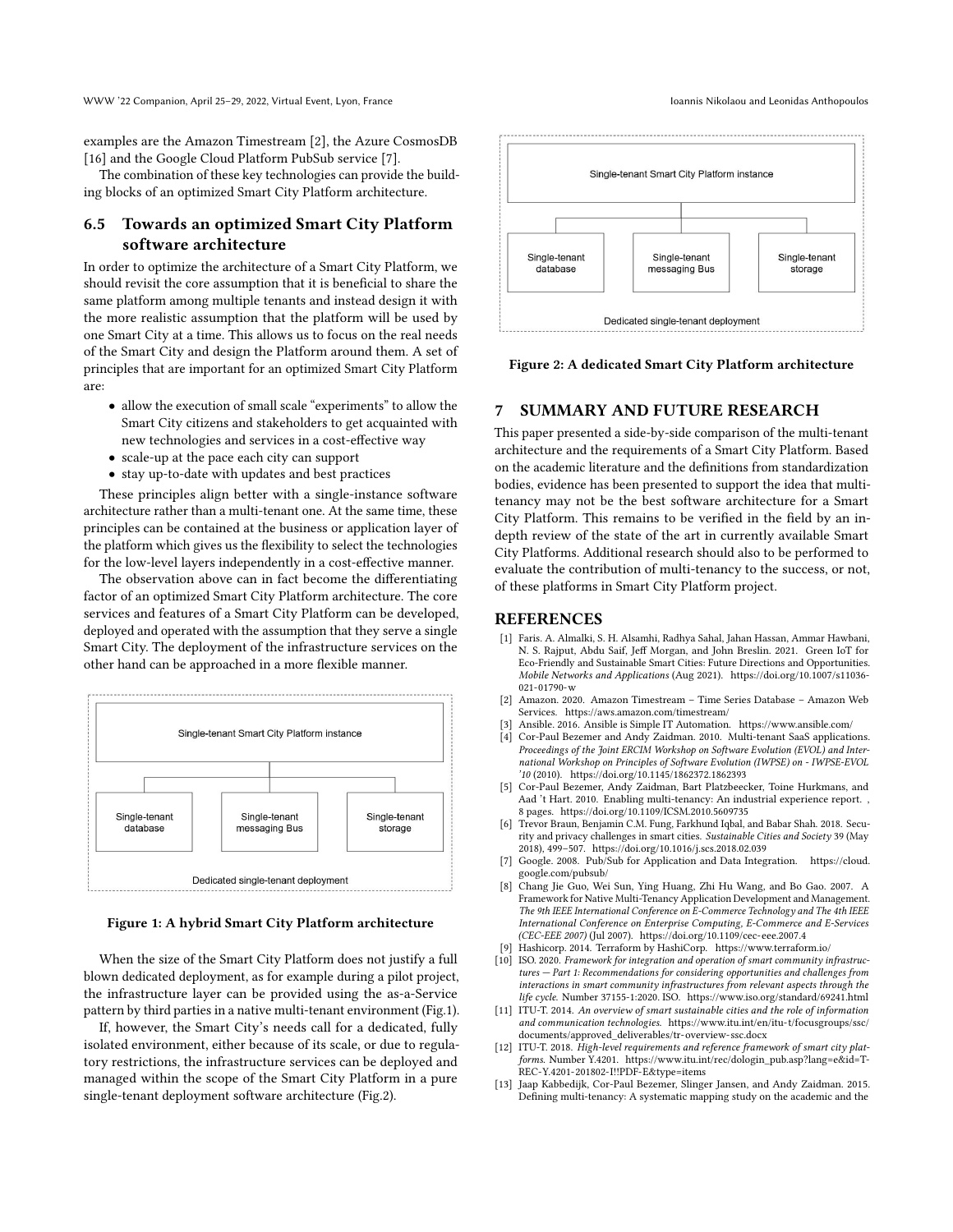examples are the Amazon Timestream [\[2\]](#page-3-11), the Azure CosmosDB [\[16\]](#page-4-10) and the Google Cloud Platform PubSub service [\[7\]](#page-3-12).

The combination of these key technologies can provide the building blocks of an optimized Smart City Platform architecture.

## 6.5 Towards an optimized Smart City Platform software architecture

In order to optimize the architecture of a Smart City Platform, we should revisit the core assumption that it is beneficial to share the same platform among multiple tenants and instead design it with the more realistic assumption that the platform will be used by one Smart City at a time. This allows us to focus on the real needs of the Smart City and design the Platform around them. A set of principles that are important for an optimized Smart City Platform are:

- allow the execution of small scale "experiments" to allow the Smart City citizens and stakeholders to get acquainted with new technologies and services in a cost-effective way
- scale-up at the pace each city can support
- stay up-to-date with updates and best practices

These principles align better with a single-instance software architecture rather than a multi-tenant one. At the same time, these principles can be contained at the business or application layer of the platform which gives us the flexibility to select the technologies for the low-level layers independently in a cost-effective manner.

The observation above can in fact become the differentiating factor of an optimized Smart City Platform architecture. The core services and features of a Smart City Platform can be developed, deployed and operated with the assumption that they serve a single Smart City. The deployment of the infrastructure services on the other hand can be approached in a more flexible manner.

<span id="page-3-13"></span>

#### Figure 1: A hybrid Smart City Platform architecture

When the size of the Smart City Platform does not justify a full blown dedicated deployment, as for example during a pilot project, the infrastructure layer can be provided using the as-a-Service pattern by third parties in a native multi-tenant environment (Fig[.1\)](#page-3-13).

If, however, the Smart City's needs call for a dedicated, fully isolated environment, either because of its scale, or due to regulatory restrictions, the infrastructure services can be deployed and managed within the scope of the Smart City Platform in a pure single-tenant deployment software architecture (Fig[.2\)](#page-3-14).

<span id="page-3-14"></span>

Figure 2: A dedicated Smart City Platform architecture

## **SUMMARY AND FUTURE RESEARCH**

This paper presented a side-by-side comparison of the multi-tenant architecture and the requirements of a Smart City Platform. Based on the academic literature and the definitions from standardization bodies, evidence has been presented to support the idea that multitenancy may not be the best software architecture for a Smart City Platform. This remains to be verified in the field by an indepth review of the state of the art in currently available Smart City Platforms. Additional research should also to be performed to evaluate the contribution of multi-tenancy to the success, or not, of these platforms in Smart City Platform project.

## REFERENCES

- <span id="page-3-8"></span>[1] Faris. A. Almalki, S. H. Alsamhi, Radhya Sahal, Jahan Hassan, Ammar Hawbani, N. S. Rajput, Abdu Saif, Jeff Morgan, and John Breslin. 2021. Green IoT for Eco-Friendly and Sustainable Smart Cities: Future Directions and Opportunities. Mobile Networks and Applications (Aug 2021). [https://doi.org/10.1007/s11036-](https://doi.org/10.1007/s11036-021-01790-w) [021-01790-w](https://doi.org/10.1007/s11036-021-01790-w)
- <span id="page-3-11"></span>[2] Amazon. 2020. Amazon Timestream – Time Series Database – Amazon Web Services.<https://aws.amazon.com/timestream/>
- <span id="page-3-9"></span>[3] Ansible. 2016. Ansible is Simple IT Automation.<https://www.ansible.com/>
- <span id="page-3-1"></span>[4] Cor-Paul Bezemer and Andy Zaidman. 2010. Multi-tenant SaaS applications. Proceedings of the Joint ERCIM Workshop on Software Evolution (EVOL) and International Workshop on Principles of Software Evolution (IWPSE) on - IWPSE-EVOL '10 (2010).<https://doi.org/10.1145/1862372.1862393>
- <span id="page-3-3"></span>[5] Cor-Paul Bezemer, Andy Zaidman, Bart Platzbeecker, Toine Hurkmans, and Aad 't Hart. 2010. Enabling multi-tenancy: An industrial experience report. , 8 pages.<https://doi.org/10.1109/ICSM.2010.5609735>
- <span id="page-3-7"></span>[6] Trevor Braun, Benjamin C.M. Fung, Farkhund Iqbal, and Babar Shah. 2018. Security and privacy challenges in smart cities. Sustainable Cities and Society 39 (May 2018), 499–507.<https://doi.org/10.1016/j.scs.2018.02.039>
- <span id="page-3-12"></span>[7] Google. 2008. Pub/Sub for Application and Data Integration. [https://cloud.](https://cloud.google.com/pubsub/)
- <span id="page-3-2"></span>[google.com/pubsub/](https://cloud.google.com/pubsub/) [8] Chang Jie Guo, Wei Sun, Ying Huang, Zhi Hu Wang, and Bo Gao. 2007. A Framework for Native Multi-Tenancy Application Development and Management. The 9th IEEE International Conference on E-Commerce Technology and The 4th IEEE International Conference on Enterprise Computing, E-Commerce and E-Services (CEC-EEE 2007) (Jul 2007).<https://doi.org/10.1109/cec-eee.2007.4>
- <span id="page-3-10"></span>Hashicorp. 2014. Terraform by HashiCorp.<https://www.terraform.io/>
- <span id="page-3-5"></span>[10] ISO. 2020. Framework for integration and operation of smart community infrastructures — Part 1: Recommendations for considering opportunities and challenges from interactions in smart community infrastructures from relevant aspects through the life cycle. Number 37155-1:2020. ISO.<https://www.iso.org/standard/69241.html>
- <span id="page-3-4"></span>[11] ITU-T. 2014. An overview of smart sustainable cities and the role of information and communication technologies. [https://www.itu.int/en/itu-t/focusgroups/ssc/](https://www.itu.int/en/itu-t/focusgroups/ssc/documents/approved_deliverables/tr-overview-ssc.docx) [documents/approved\\_deliverables/tr-overview-ssc.docx](https://www.itu.int/en/itu-t/focusgroups/ssc/documents/approved_deliverables/tr-overview-ssc.docx)
- <span id="page-3-6"></span>[12] ITU-T. 2018. High-level requirements and reference framework of smart city platforms. Number Y.4201. [https://www.itu.int/rec/dologin\\_pub.asp?lang=e&id=T-](https://www.itu.int/rec/dologin_pub.asp?lang=e&id=T-REC-Y.4201-201802-I!!PDF-E&type=items)[REC-Y.4201-201802-I!!PDF-E&type=items](https://www.itu.int/rec/dologin_pub.asp?lang=e&id=T-REC-Y.4201-201802-I!!PDF-E&type=items)
- <span id="page-3-0"></span>[13] Jaap Kabbedijk, Cor-Paul Bezemer, Slinger Jansen, and Andy Zaidman. 2015. Defining multi-tenancy: A systematic mapping study on the academic and the